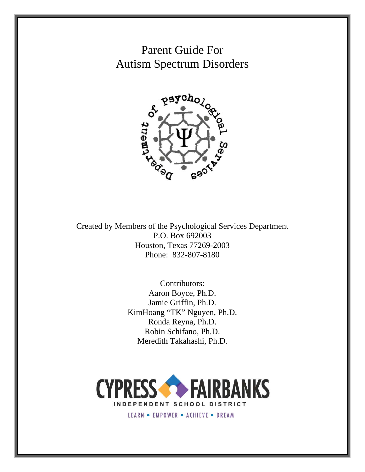Parent Guide For Autism Spectrum Disorders



Created by Members of the Psychological Services Department P.O. Box 692003 Houston, Texas 77269-2003 Phone: 832-807-8180

> Contributors: Aaron Boyce, Ph.D. Jamie Griffin, Ph.D. KimHoang "TK" Nguyen, Ph.D. Ronda Reyna, Ph.D. Robin Schifano, Ph.D. Meredith Takahashi, Ph.D.



LEARN . EMPOWER . ACHIEVE . DREAM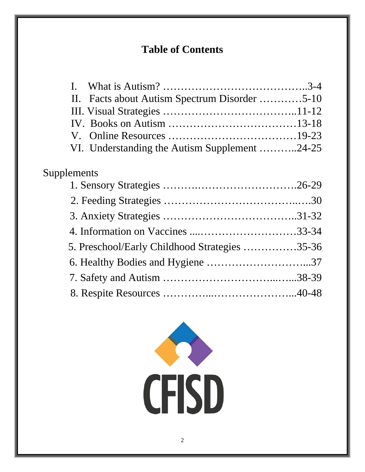# **Table of Contents**

| $\mathbf{I}$ .                                |  |
|-----------------------------------------------|--|
| II. Facts about Autism Spectrum Disorder 5-10 |  |
|                                               |  |
|                                               |  |
| $V_{\odot}$                                   |  |
| VI. Understanding the Autism Supplement 24-25 |  |
|                                               |  |
| Supplements                                   |  |
|                                               |  |
|                                               |  |
|                                               |  |
|                                               |  |
| 5. Preschool/Early Childhood Strategies 35-36 |  |
|                                               |  |
|                                               |  |
|                                               |  |

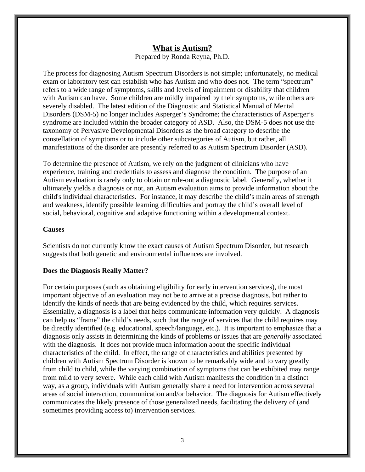# **What is Autism?**

Prepared by Ronda Reyna, Ph.D.

The process for diagnosing Autism Spectrum Disorders is not simple; unfortunately, no medical exam or laboratory test can establish who has Autism and who does not. The term "spectrum" refers to a wide range of symptoms, skills and levels of impairment or disability that children with Autism can have. Some children are mildly impaired by their symptoms, while others are severely disabled. The latest edition of the Diagnostic and Statistical Manual of Mental Disorders (DSM-5) no longer includes Asperger's Syndrome; the characteristics of Asperger's syndrome are included within the broader category of ASD. Also, the DSM-5 does not use the taxonomy of Pervasive Developmental Disorders as the broad category to describe the constellation of symptoms or to include other subcategories of Autism, but rather, all manifestations of the disorder are presently referred to as Autism Spectrum Disorder (ASD).

To determine the presence of Autism, we rely on the judgment of clinicians who have experience, training and credentials to assess and diagnose the condition. The purpose of an Autism evaluation is rarely only to obtain or rule-out a diagnostic label. Generally, whether it ultimately yields a diagnosis or not, an Autism evaluation aims to provide information about the child's individual characteristics. For instance, it may describe the child's main areas of strength and weakness, identify possible learning difficulties and portray the child's overall level of social, behavioral, cognitive and adaptive functioning within a developmental context.

### **Causes**

Scientists do not currently know the exact causes of Autism Spectrum Disorder, but research suggests that both genetic and environmental influences are involved.

### **Does the Diagnosis Really Matter?**

For certain purposes (such as obtaining eligibility for early intervention services), the most important objective of an evaluation may not be to arrive at a precise diagnosis, but rather to identify the kinds of needs that are being evidenced by the child, which requires services. Essentially, a diagnosis is a label that helps communicate information very quickly. A diagnosis can help us "frame" the child's needs, such that the range of services that the child requires may be directly identified (e.g. educational, speech/language, etc.). It is important to emphasize that a diagnosis only assists in determining the kinds of problems or issues that are *generally* associated with the diagnosis. It does not provide much information about the specific individual characteristics of the child. In effect, the range of characteristics and abilities presented by children with Autism Spectrum Disorder is known to be remarkably wide and to vary greatly from child to child, while the varying combination of symptoms that can be exhibited may range from mild to very severe. While each child with Autism manifests the condition in a distinct way, as a group, individuals with Autism generally share a need for intervention across several areas of social interaction, communication and/or behavior. The diagnosis for Autism effectively communicates the likely presence of those generalized needs, facilitating the delivery of (and sometimes providing access to) intervention services.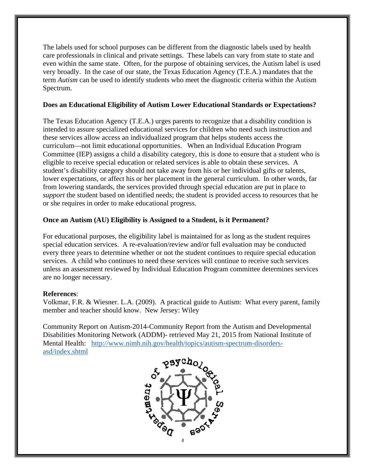The labels used for school purposes can be different from the diagnostic labels used by health care professionals in clinical and private settings. These labels can vary from state to state and even within the same state. Often, for the purpose of obtaining services, the Autism label is used very broadly. In the case of our state, the Texas Education Agency (T.E.A.) mandates that the term *Autism* can be used to identify students who meet the diagnostic criteria within the Autism Spectrum.

### **Does an Educational Eligibility of Autism Lower Educational Standards or Expectations?**

The Texas Education Agency (T.E.A.) urges parents to recognize that a disability condition is intended to assure specialized educational services for children who need such instruction and these services allow access an individualized program that helps students access the curriculum—not limit educational opportunities. When an Individual Education Program Committee (IEP) assigns a child a disability category, this is done to ensure that a student who is eligible to receive special education or related services is able to obtain these services. A student's disability category should not take away from his or her individual gifts or talents, lower expectations, or affect his or her placement in the general curriculum. In other words, far from lowering standards, the services provided through special education are put in place to *support* the student based on identified needs; the student is provided access to resources that he or she requires in order to make educational progress.

### **Once an Autism (AU) Eligibility is Assigned to a Student, is it Permanent?**

For educational purposes, the eligibility label is maintained for as long as the student requires special education services. A re-evaluation/review and/or full evaluation may be conducted every three years to determine whether or not the student continues to require special education services. A child who continues to need these services will continue to receive such services unless an assessment reviewed by Individual Education Program committee determines services are no longer necessary.

### **References**:

Volkmar, F.R. & Wiesner. L.A. (2009). A practical guide to Autism: What every parent, family member and teacher should know. New Jersey: Wiley

Community Report on Autism-2014-Community Report from the Autism and Developmental Disabilities Monitoring Network (ADDM)- retrieved May 21, 2015 from National Institute of Mental Health: http://www.nimh.nih.gov/health/topics/autism-spectrum-disordersasd/index.shtml

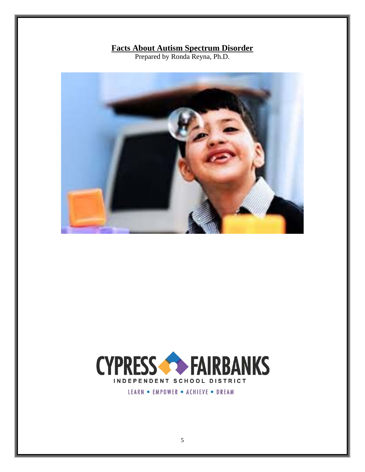# **Facts About Autism Spectrum Disorder**

Prepared by Ronda Reyna, Ph.D.





LEARN . EMPOWER . ACHIEVE . DREAM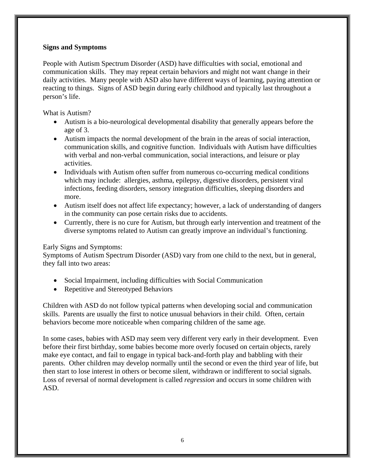# **Signs and Symptoms**

People with Autism Spectrum Disorder (ASD) have difficulties with social, emotional and communication skills. They may repeat certain behaviors and might not want change in their daily activities. Many people with ASD also have different ways of learning, paying attention or reacting to things. Signs of ASD begin during early childhood and typically last throughout a person's life.

What is Autism?

- Autism is a bio-neurological developmental disability that generally appears before the age of 3.
- Autism impacts the normal development of the brain in the areas of social interaction, communication skills, and cognitive function. Individuals with Autism have difficulties with verbal and non-verbal communication, social interactions, and leisure or play activities.
- Individuals with Autism often suffer from numerous co-occurring medical conditions which may include: allergies, asthma, epilepsy, digestive disorders, persistent viral infections, feeding disorders, sensory integration difficulties, sleeping disorders and more.
- Autism itself does not affect life expectancy; however, a lack of understanding of dangers in the community can pose certain risks due to accidents.
- Currently, there is no cure for Autism, but through early intervention and treatment of the diverse symptoms related to Autism can greatly improve an individual's functioning.

### Early Signs and Symptoms:

Symptoms of Autism Spectrum Disorder (ASD) vary from one child to the next, but in general, they fall into two areas:

- Social Impairment, including difficulties with Social Communication
- Repetitive and Stereotyped Behaviors

Children with ASD do not follow typical patterns when developing social and communication skills. Parents are usually the first to notice unusual behaviors in their child. Often, certain behaviors become more noticeable when comparing children of the same age.

In some cases, babies with ASD may seem very different very early in their development. Even before their first birthday, some babies become more overly focused on certain objects, rarely make eye contact, and fail to engage in typical back-and-forth play and babbling with their parents. Other children may develop normally until the second or even the third year of life, but then start to lose interest in others or become silent, withdrawn or indifferent to social signals. Loss of reversal of normal development is called *regression* and occurs in some children with ASD.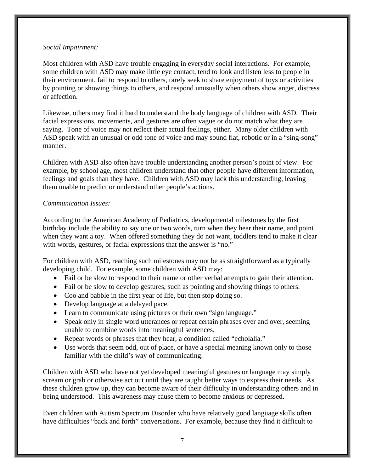## *Social Impairment:*

Most children with ASD have trouble engaging in everyday social interactions. For example, some children with ASD may make little eye contact, tend to look and listen less to people in their environment, fail to respond to others, rarely seek to share enjoyment of toys or activities by pointing or showing things to others, and respond unusually when others show anger, distress or affection.

Likewise, others may find it hard to understand the body language of children with ASD. Their facial expressions, movements, and gestures are often vague or do not match what they are saying. Tone of voice may not reflect their actual feelings, either. Many older children with ASD speak with an unusual or odd tone of voice and may sound flat, robotic or in a "sing-song" manner.

Children with ASD also often have trouble understanding another person's point of view. For example, by school age, most children understand that other people have different information, feelings and goals than they have. Children with ASD may lack this understanding, leaving them unable to predict or understand other people's actions.

# *Communication Issues:*

According to the American Academy of Pediatrics, developmental milestones by the first birthday include the ability to say one or two words, turn when they hear their name, and point when they want a toy. When offered something they do not want, toddlers tend to make it clear with words, gestures, or facial expressions that the answer is "no."

For children with ASD, reaching such milestones may not be as straightforward as a typically developing child. For example, some children with ASD may:

- Fail or be slow to respond to their name or other verbal attempts to gain their attention.
- Fail or be slow to develop gestures, such as pointing and showing things to others.
- Coo and babble in the first year of life, but then stop doing so.
- Develop language at a delayed pace.
- Learn to communicate using pictures or their own "sign language."
- Speak only in single word utterances or repeat certain phrases over and over, seeming unable to combine words into meaningful sentences.
- Repeat words or phrases that they hear, a condition called "echolalia."
- Use words that seem odd, out of place, or have a special meaning known only to those familiar with the child's way of communicating.

Children with ASD who have not yet developed meaningful gestures or language may simply scream or grab or otherwise act out until they are taught better ways to express their needs. As these children grow up, they can become aware of their difficulty in understanding others and in being understood. This awareness may cause them to become anxious or depressed.

Even children with Autism Spectrum Disorder who have relatively good language skills often have difficulties "back and forth" conversations. For example, because they find it difficult to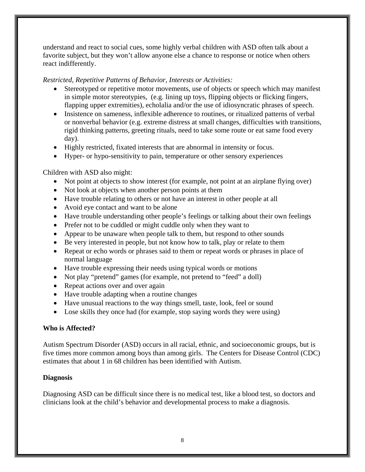understand and react to social cues, some highly verbal children with ASD often talk about a favorite subject, but they won't allow anyone else a chance to response or notice when others react indifferently.

# *Restricted, Repetitive Patterns of Behavior, Interests or Activities:*

- Stereotyped or repetitive motor movements, use of objects or speech which may manifest in simple motor stereotypies, (e.g. lining up toys, flipping objects or flicking fingers, flapping upper extremities), echolalia and/or the use of idiosyncratic phrases of speech.
- Insistence on sameness, inflexible adherence to routines, or ritualized patterns of verbal or nonverbal behavior (e.g. extreme distress at small changes, difficulties with transitions, rigid thinking patterns, greeting rituals, need to take some route or eat same food every day).
- Highly restricted, fixated interests that are abnormal in intensity or focus.
- Hyper- or hypo-sensitivity to pain, temperature or other sensory experiences

# Children with ASD also might:

- Not point at objects to show interest (for example, not point at an airplane flying over)
- Not look at objects when another person points at them
- Have trouble relating to others or not have an interest in other people at all
- Avoid eye contact and want to be alone
- Have trouble understanding other people's feelings or talking about their own feelings
- Prefer not to be cuddled or might cuddle only when they want to
- Appear to be unaware when people talk to them, but respond to other sounds
- Be very interested in people, but not know how to talk, play or relate to them
- Repeat or echo words or phrases said to them or repeat words or phrases in place of normal language
- Have trouble expressing their needs using typical words or motions
- Not play "pretend" games (for example, not pretend to "feed" a doll)
- Repeat actions over and over again
- Have trouble adapting when a routine changes
- Have unusual reactions to the way things smell, taste, look, feel or sound
- Lose skills they once had (for example, stop saying words they were using)

### **Who is Affected?**

Autism Spectrum Disorder (ASD) occurs in all racial, ethnic, and socioeconomic groups, but is five times more common among boys than among girls. The Centers for Disease Control (CDC) estimates that about 1 in 68 children has been identified with Autism.

### **Diagnosis**

Diagnosing ASD can be difficult since there is no medical test, like a blood test, so doctors and clinicians look at the child's behavior and developmental process to make a diagnosis.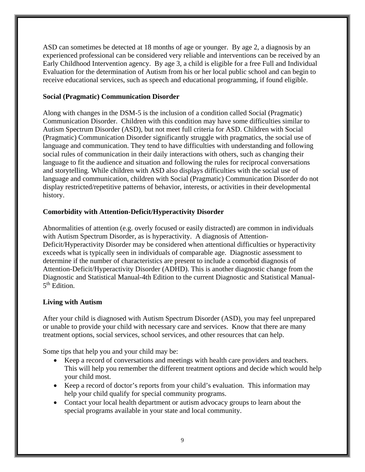ASD can sometimes be detected at 18 months of age or younger. By age 2, a diagnosis by an experienced professional can be considered very reliable and interventions can be received by an Early Childhood Intervention agency. By age 3, a child is eligible for a free Full and Individual Evaluation for the determination of Autism from his or her local public school and can begin to receive educational services, such as speech and educational programming, if found eligible.

# **Social (Pragmatic) Communication Disorder**

Along with changes in the DSM-5 is the inclusion of a condition called Social (Pragmatic) Communication Disorder. Children with this condition may have some difficulties similar to Autism Spectrum Disorder (ASD), but not meet full criteria for ASD. Children with Social (Pragmatic) Communication Disorder significantly struggle with pragmatics, the social use of language and communication. They tend to have difficulties with understanding and following social rules of communication in their daily interactions with others, such as changing their language to fit the audience and situation and following the rules for reciprocal conversations and storytelling. While children with ASD also displays difficulties with the social use of language and communication, children with Social (Pragmatic) Communication Disorder do not display restricted/repetitive patterns of behavior, interests, or activities in their developmental history.

# **Comorbidity with Attention-Deficit/Hyperactivity Disorder**

Abnormalities of attention (e.g. overly focused or easily distracted) are common in individuals with Autism Spectrum Disorder, as is hyperactivity. A diagnosis of Attention-Deficit/Hyperactivity Disorder may be considered when attentional difficulties or hyperactivity exceeds what is typically seen in individuals of comparable age. Diagnostic assessment to determine if the number of characteristics are present to include a comorbid diagnosis of Attention-Deficit/Hyperactivity Disorder (ADHD). This is another diagnostic change from the Diagnostic and Statistical Manual-4th Edition to the current Diagnostic and Statistical Manual-5<sup>th</sup> Edition.

# **Living with Autism**

After your child is diagnosed with Autism Spectrum Disorder (ASD), you may feel unprepared or unable to provide your child with necessary care and services. Know that there are many treatment options, social services, school services, and other resources that can help.

Some tips that help you and your child may be:

- Keep a record of conversations and meetings with health care providers and teachers. This will help you remember the different treatment options and decide which would help your child most.
- Keep a record of doctor's reports from your child's evaluation. This information may help your child qualify for special community programs.
- Contact your local health department or autism advocacy groups to learn about the special programs available in your state and local community.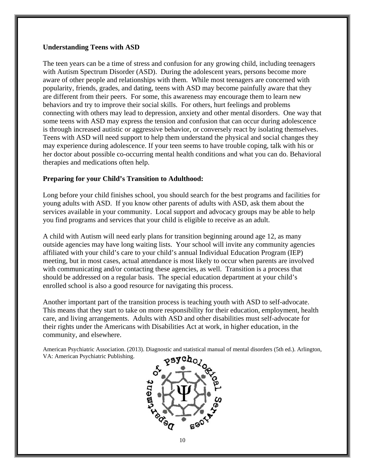### **Understanding Teens with ASD**

The teen years can be a time of stress and confusion for any growing child, including teenagers with Autism Spectrum Disorder (ASD). During the adolescent years, persons become more aware of other people and relationships with them. While most teenagers are concerned with popularity, friends, grades, and dating, teens with ASD may become painfully aware that they are different from their peers. For some, this awareness may encourage them to learn new behaviors and try to improve their social skills. For others, hurt feelings and problems connecting with others may lead to depression, anxiety and other mental disorders. One way that some teens with ASD may express the tension and confusion that can occur during adolescence is through increased autistic or aggressive behavior, or conversely react by isolating themselves. Teens with ASD will need support to help them understand the physical and social changes they may experience during adolescence. If your teen seems to have trouble coping, talk with his or her doctor about possible co-occurring mental health conditions and what you can do. Behavioral therapies and medications often help.

# **Preparing for your Child's Transition to Adulthood:**

Long before your child finishes school, you should search for the best programs and facilities for young adults with ASD. If you know other parents of adults with ASD, ask them about the services available in your community. Local support and advocacy groups may be able to help you find programs and services that your child is eligible to receive as an adult.

A child with Autism will need early plans for transition beginning around age 12, as many outside agencies may have long waiting lists. Your school will invite any community agencies affiliated with your child's care to your child's annual Individual Education Program (IEP) meeting, but in most cases, actual attendance is most likely to occur when parents are involved with communicating and/or contacting these agencies, as well. Transition is a process that should be addressed on a regular basis. The special education department at your child's enrolled school is also a good resource for navigating this process.

Another important part of the transition process is teaching youth with ASD to self-advocate. This means that they start to take on more responsibility for their education, employment, health care, and living arrangements. Adults with ASD and other disabilities must self-advocate for their rights under the Americans with Disabilities Act at work, in higher education, in the community, and elsewhere.

American Psychiatric Association. (2013). Diagnostic and statistical manual of mental disorders (5th ed.). Arlington, VA: American Psychiatric Publishing.

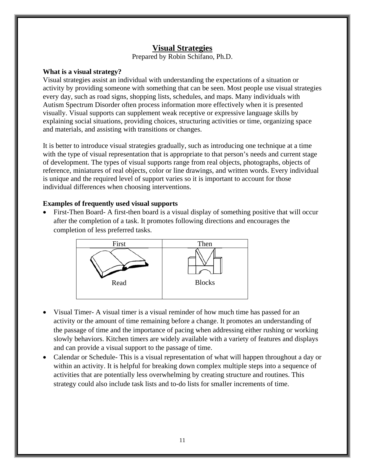# **Visual Strategies**

Prepared by Robin Schifano, Ph.D.

### **What is a visual strategy?**

Visual strategies assist an individual with understanding the expectations of a situation or activity by providing someone with something that can be seen. Most people use visual strategies every day, such as road signs, shopping lists, schedules, and maps. Many individuals with Autism Spectrum Disorder often process information more effectively when it is presented visually. Visual supports can supplement weak receptive or expressive language skills by explaining social situations, providing choices, structuring activities or time, organizing space and materials, and assisting with transitions or changes.

It is better to introduce visual strategies gradually, such as introducing one technique at a time with the type of visual representation that is appropriate to that person's needs and current stage of development. The types of visual supports range from real objects, photographs, objects of reference, miniatures of real objects, color or line drawings, and written words. Every individual is unique and the required level of support varies so it is important to account for those individual differences when choosing interventions.

### **Examples of frequently used visual supports**

 First-Then Board- A first-then board is a visual display of something positive that will occur after the completion of a task. It promotes following directions and encourages the completion of less preferred tasks.



- Visual Timer- A visual timer is a visual reminder of how much time has passed for an activity or the amount of time remaining before a change. It promotes an understanding of the passage of time and the importance of pacing when addressing either rushing or working slowly behaviors. Kitchen timers are widely available with a variety of features and displays and can provide a visual support to the passage of time.
- Calendar or Schedule- This is a visual representation of what will happen throughout a day or within an activity. It is helpful for breaking down complex multiple steps into a sequence of activities that are potentially less overwhelming by creating structure and routines. This strategy could also include task lists and to-do lists for smaller increments of time.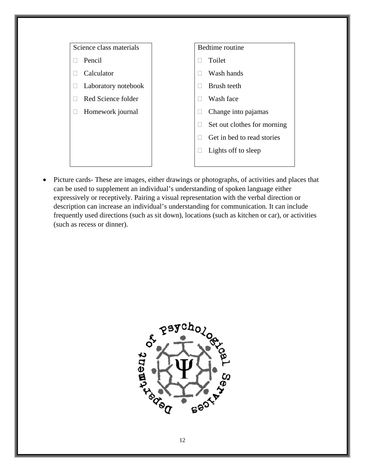

• Picture cards- These are images, either drawings or photographs, of activities and places that can be used to supplement an individual's understanding of spoken language either expressively or receptively. Pairing a visual representation with the verbal direction or description can increase an individual's understanding for communication. It can include frequently used directions (such as sit down), locations (such as kitchen or car), or activities (such as recess or dinner).

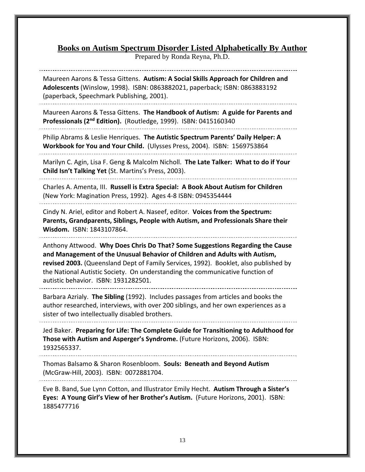# **Books on Autism Spectrum Disorder Listed Alphabetically By Author**

Prepared by Ronda Reyna, Ph.D.

Maureen Aarons & Tessa Gittens. **Autism: A Social Skills Approach for Children and Adolescents** (Winslow, 1998). ISBN: 0863882021, paperback; ISBN: 0863883192 (paperback, Speechmark Publishing, 2001).

Maureen Aarons & Tessa Gittens. **The Handbook of Autism: A guide for Parents and Professionals (2nd Edition).** (Routledge, 1999). ISBN: 0415160340

Philip Abrams & Leslie Henriques. **The Autistic Spectrum Parents' Daily Helper: A Workbook for You and Your Child.** (Ulysses Press, 2004). ISBN: 1569753864

Marilyn C. Agin, Lisa F. Geng & Malcolm Nicholl. **The Late Talker: What to do if Your Child Isn't Talking Yet** (St. Martins's Press, 2003).

Charles A. Amenta, III. **Russell is Extra Special: A Book About Autism for Children** (New York: Magination Press, 1992). Ages 4‐8 ISBN: 0945354444

Cindy N. Ariel, editor and Robert A. Naseef, editor. **Voices from the Spectrum: Parents, Grandparents, Siblings, People with Autism, and Professionals Share their Wisdom.** ISBN: 1843107864.

Anthony Attwood. **Why Does Chris Do That? Some Suggestions Regarding the Cause and Management of the Unusual Behavior of Children and Adults with Autism, revised 2003.** (Queensland Dept of Family Services, 1992). Booklet, also published by the National Autistic Society. On understanding the communicative function of autistic behavior. ISBN: 1931282501.

Barbara Azrialy. **The Sibling** (1992). Includes passages from articles and books the author researched, interviews, with over 200 siblings, and her own experiences as a

sister of two intellectually disabled brothers.

Jed Baker. **Preparing for Life: The Complete Guide for Transitioning to Adulthood for Those with Autism and Asperger's Syndrome.** (Future Horizons, 2006). ISBN: 1932565337.

Thomas Balsamo & Sharon Rosenbloom. **Souls: Beneath and Beyond Autism** (McGraw‐Hill, 2003). ISBN: 0072881704.

Eve B. Band, Sue Lynn Cotton, and Illustrator Emily Hecht. **Autism Through a Sister's Eyes: A Young Girl's View of her Brother's Autism.** (Future Horizons, 2001). ISBN: 1885477716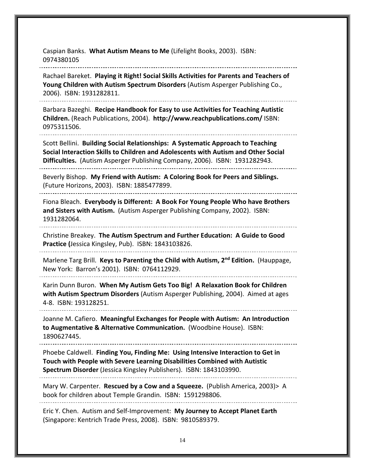Caspian Banks. **What Autism Means to Me** (Lifelight Books, 2003). ISBN: 0974380105

Rachael Bareket. **Playing it Right! Social Skills Activities for Parents and Teachers of Young Children with Autism Spectrum Disorders** (Autism Asperger Publishing Co., 2006). ISBN: 1931282811.

Barbara Bazeghi. **Recipe Handbook for Easy to use Activities for Teaching Autistic Children.** (Reach Publications, 2004). **http://www.reachpublications.com/** ISBN: 0975311506.

Scott Bellini. **Building Social Relationships: A Systematic Approach to Teaching Social Interaction Skills to Children and Adolescents with Autism and Other Social Difficulties.** (Autism Asperger Publishing Company, 2006). ISBN: 1931282943.

Beverly Bishop. **My Friend with Autism: A Coloring Book for Peers and Siblings.**  (Future Horizons, 2003). ISBN: 1885477899.

Fiona Bleach. **Everybody is Different: A Book For Young People Who have Brothers and Sisters with Autism.** (Autism Asperger Publishing Company, 2002). ISBN: 1931282064.

Christine Breakey. **The Autism Spectrum and Further Education: A Guide to Good Practice (**Jessica Kingsley, Pub). ISBN: 1843103826.

Marlene Targ Brill. **Keys to Parenting the Child with Autism, 2nd Edition.** (Hauppage, New York: Barron's 2001). ISBN: 0764112929.

Karin Dunn Buron. **When My Autism Gets Too Big! A Relaxation Book for Children with Autism Spectrum Disorders** (Autism Asperger Publishing, 2004). Aimed at ages 4‐8. ISBN: 193128251.

Joanne M. Cafiero. **Meaningful Exchanges for People with Autism: An Introduction to Augmentative & Alternative Communication.** (Woodbine House). ISBN: 1890627445.

Phoebe Caldwell. **Finding You, Finding Me: Using Intensive Interaction to Get in Touch with People with Severe Learning Disabilities Combined with Autistic**

**Spectrum Disorder** (Jessica Kingsley Publishers).ISBN: 1843103990.

Mary W. Carpenter. **Rescued by a Cow and a Squeeze.** (Publish America, 2003)> A book for children about Temple Grandin. ISBN: 1591298806.

Eric Y. Chen. Autism and Self‐Improvement: **My Journey to Accept Planet Earth** (Singapore: Kentrich Trade Press, 2008). ISBN: 9810589379.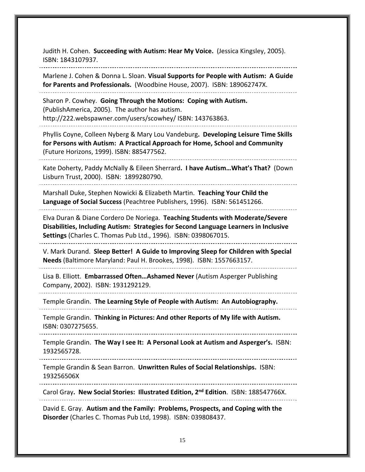Judith H. Cohen. **Succeeding with Autism: Hear My Voice.** (Jessica Kingsley, 2005). ISBN: 1843107937.

Marlene J. Cohen & Donna L. Sloan. **Visual Supports for People with Autism: A Guide for Parents and Professionals.** (Woodbine House, 2007). ISBN: 189062747X.

Sharon P. Cowhey. **Going Through the Motions: Coping with Autism.** (PublishAmerica, 2005). The author has autism. http://222.webspawner.com/users/scowhey/ ISBN: 143763863.

Phyllis Coyne, Colleen Nyberg & Mary Lou Vandeburg**. Developing Leisure Time Skills for Persons with Autism: A Practical Approach for Home, School and Community** (Future Horizons, 1999). ISBN: 885477562.

Kate Doherty, Paddy McNally & Eileen Sherrard**. I have Autism…What's That?** (Down

Lisburn Trust, 2000). ISBN: 1899280790.

Marshall Duke, Stephen Nowicki & Elizabeth Martin. **Teaching Your Child the Language of Social Success** (Peachtree Publishers, 1996). ISBN: 561451266.

Elva Duran & Diane Cordero De Noriega. **Teaching Students with Moderate/Severe Disabilities, Including Autism: Strategies for Second Language Learners in Inclusive Settings** (Charles C. Thomas Pub Ltd., 1996). ISBN: 0398067015.

V. Mark Durand. **Sleep Better! A Guide to Improving Sleep for Children with Special Needs** (Baltimore Maryland: Paul H. Brookes, 1998). ISBN: 1557663157.

Lisa B. Elliott. **Embarrassed Often…Ashamed Never** (Autism Asperger Publishing Company, 2002). ISBN: 1931292129.

Temple Grandin. **The Learning Style of People with Autism: An Autobiography.** 

Temple Grandin. **Thinking in Pictures: And other Reports of My life with Autism.**  ISBN: 0307275655.

Temple Grandin. **The Way I see It: A Personal Look at Autism and Asperger's.** ISBN: 1932565728.

Temple Grandin & Sean Barron. **Unwritten Rules of Social Relationships.** ISBN: 193256506X

Carol Gray**. New Social Stories: Illustrated Edition, 2nd Edition**. ISBN: 188547766X.

David E. Gray. **Autism and the Family: Problems, Prospects, and Coping with the Disorder** (Charles C. Thomas Pub Ltd, 1998). ISBN: 039808437.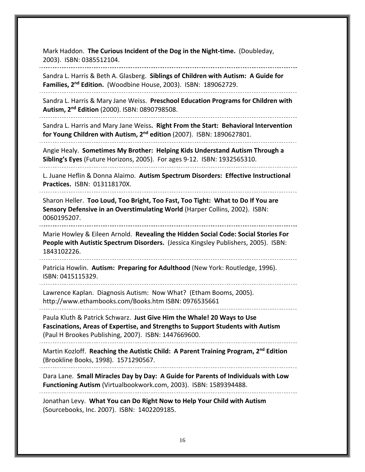Mark Haddon. **The Curious Incident of the Dog in the Night‐time.** (Doubleday, 2003). ISBN: 0385512104.

Sandra L. Harris & Beth A. Glasberg. **Siblings of Children with Autism: A Guide for Families, 2nd Edition.** (Woodbine House, 2003). ISBN: 189062729.

Sandra L. Harris & Mary Jane Weiss. **Preschool Education Programs for Children with Autism, 2nd Edition** (2000). ISBN: 0890798508.

Sandra L. Harris and Mary Jane Weiss**. Right From the Start: Behavioral Intervention for Young Children with Autism, 2nd edition** (2007). ISBN: 1890627801.

Angie Healy. **Sometimes My Brother: Helping Kids Understand Autism Through a Sibling's Eyes** (Future Horizons, 2005). For ages 9‐12. ISBN: 1932565310.

L. Juane Heflin & Donna Alaimo. **Autism Spectrum Disorders: Effective Instructional Practices.** ISBN: 013118170X.

Sharon Heller. **Too Loud, Too Bright, Too Fast, Too Tight: What to Do If You are Sensory Defensive in an Overstimulating World** (Harper Collins, 2002). ISBN: 0060195207.

Marie Howley & Eileen Arnold. **Revealing the Hidden Social Code: Social Stories For People with Autistic Spectrum Disorders.** (Jessica Kingsley Publishers, 2005). ISBN: 1843102226.

Patricia Howlin. **Autism: Preparing for Adulthood** (New York: Routledge, 1996). ISBN: 0415115329.

Lawrence Kaplan. Diagnosis Autism: Now What? (Etham Booms, 2005). http://www.ethambooks.com/Books.htm ISBN: 0976535661

Paula Kluth & Patrick Schwarz. **Just Give Him the Whale! 20 Ways to Use Fascinations, Areas of Expertise, and Strengths to Support Students with Autism** (Paul H Brookes Publishing, 2007). ISBN: 1447669600.

Martin Kozloff. **Reaching the Autistic Child: A Parent Training Program, 2nd Edition** (Brookline Books, 1998). 1571290567.

Dara Lane. **Small Miracles Day by Day: A Guide for Parents of Individuals with Low Functioning Autism** (Virtualbookwork.com, 2003). ISBN: 1589394488.

Jonathan Levy. **What You can Do Right Now to Help Your Child with Autism** (Sourcebooks, Inc. 2007). ISBN: 1402209185.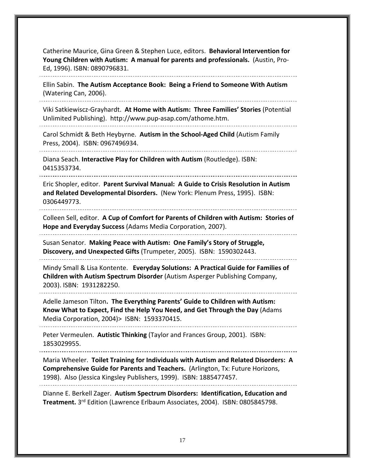Catherine Maurice, Gina Green & Stephen Luce, editors. **Behavioral Intervention for Young Children with Autism: A manual for parents and professionals.** (Austin, Pro‐ Ed, 1996). ISBN: 0890796831.

Ellin Sabin. **The Autism Acceptance Book: Being a Friend to Someone With Autism** (Watering Can, 2006).

Viki Satkiewiscz‐Grayhardt. **At Home with Autism: Three Families' Stories** (Potential Unlimited Publishing). http://www.pup‐asap.com/athome.htm.

Carol Schmidt & Beth Heybyrne. **Autism in the School‐Aged Child** (Autism Family Press, 2004). ISBN: 0967496934.

Diana Seach. **Interactive Play for Children with Autism** (Routledge). ISBN: 0415353734.

Eric Shopler, editor. **Parent Survival Manual: A Guide to Crisis Resolution in Autism and Related Developmental Disorders.** (New York: Plenum Press, 1995). ISBN: 0306449773.

Colleen Sell, editor. **A Cup of Comfort for Parents of Children with Autism: Stories of Hope and Everyday Success** (Adams Media Corporation, 2007).

Susan Senator. **Making Peace with Autism: One Family's Story of Struggle, Discovery, and Unexpected Gifts** (Trumpeter, 2005). ISBN: 1590302443.

Mindy Small & Lisa Kontente. **Everyday Solutions: A Practical Guide for Families of Children with Autism Spectrum Disorder** (Autism Asperger Publishing Company, 2003). ISBN: 1931282250.

Adelle Jameson Tilton**. The Everything Parents' Guide to Children with Autism: Know What to Expect, Find the Help You Need, and Get Through the Day** (Adams Media Corporation, 2004)> ISBN: 1593370415.

Peter Vermeulen. **Autistic Thinking** (Taylor and Frances Group, 2001). ISBN: 1853029955.

Maria Wheeler. **Toilet Training for Individuals with Autism and Related Disorders: A Comprehensive Guide for Parents and Teachers.** (Arlington, Tx: Future Horizons, 1998). Also (Jessica Kingsley Publishers, 1999). ISBN: 1885477457.

Dianne E. Berkell Zager. **Autism Spectrum Disorders: Identification, Education and Treatment.** 3rd Edition (Lawrence Erlbaum Associates, 2004). ISBN: 0805845798.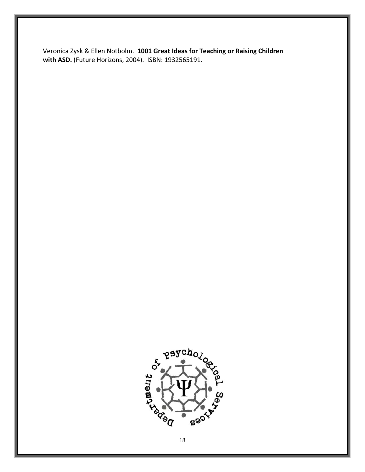Veronica Zysk & Ellen Notbolm. **1001 Great Ideas for Teaching or Raising Children with ASD.** (Future Horizons, 2004). ISBN: 1932565191.

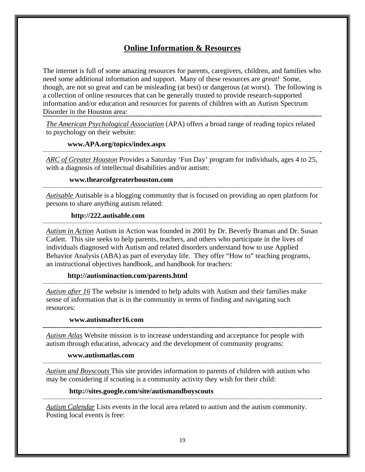# **Online Information & Resources**

The internet is full of some amazing resources for parents, caregivers, children, and families who need some additional information and support. Many of these resources are *great!* Some, though, are not so great and can be misleading (at best) or dangerous (at worst). The following is a collection of online resources that can be generally trusted to provide research-supported information and/or education and resources for parents of children with an Autism Spectrum Disorder in the Houston area:

*The American Psychological Association* (APA) offers a broad range of reading topics related to psychology on their website:

### **www.APA.org/topics/index.aspx**

*ARC of Greater Houston* Provides a Saturday 'Fun Day' program for individuals, ages 4 to 25, with a diagnosis of intellectual disabilities and/or autism:

### **www.thearcofgreaterhouston.com**

*Autisable* Autisable is a blogging community that is focused on providing an open platform for persons to share anything autism related:

### **http://222.autisable.com**

*Autism in Action* Autism in Action was founded in 2001 by Dr. Beverly Braman and Dr. Susan Catlett. This site seeks to help parents, teachers, and others who participate in the lives of individuals diagnosed with Autism and related disorders understand how to use Applied Behavior Analysis (ABA) as part of everyday life. They offer "How to" teaching programs, an instructional objectives handbook, and handbook for teachers:

### **http://autisminaction.com/parents.html**

*Autism after 16* The website is intended to help adults with Autism and their families make sense of information that is in the community in terms of finding and navigating such resources:

### **www.autismafter16.com**

*Autism Atlas* Website mission is to increase understanding and acceptance for people with autism through education, advocacy and the development of community programs:

### **www.autismatlas.com**

*Autism and Boyscouts* This site provides information to parents of children with autism who may be considering if scouting is a community activity they wish for their child:

### **http://sites.google.com/site/autismandboyscouts**

*Autism Calendar* Lists events in the local area related to autism and the autism community. Posting local events is free: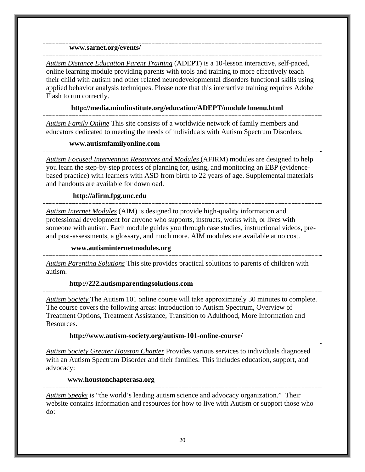#### **www.sarnet.org/events/**

*Autism Distance Education Parent Training* (ADEPT) is a 10-lesson interactive, self-paced, online learning module providing parents with tools and training to more effectively teach their child with autism and other related neurodevelopmental disorders functional skills using applied behavior analysis techniques. Please note that this interactive training requires Adobe Flash to run correctly.

### **http://media.mindinstitute.org/education/ADEPT/module1menu.html**

*Autism Family Online* This site consists of a worldwide network of family members and educators dedicated to meeting the needs of individuals with Autism Spectrum Disorders.

#### **www.autismfamilyonline.com**

*Autism Focused Intervention Resources and Modules* (AFIRM) modules are designed to help you learn the step-by-step process of planning for, using, and monitoring an EBP (evidencebased practice) with learners with ASD from birth to 22 years of age. Supplemental materials and handouts are available for download.

### **http://afirm.fpg.unc.edu**

*Autism Internet Modules* (AIM) is designed to provide high-quality information and professional development for anyone who supports, instructs, works with, or lives with someone with autism. Each module guides you through case studies, instructional videos, preand post-assessments, a glossary, and much more. AIM modules are available at no cost.

### **www.autisminternetmodules.org**

*Autism Parenting Solutions* This site provides practical solutions to parents of children with autism.

### **http://222.autismparentingsolutions.com**

*Autism Society* The Autism 101 online course will take approximately 30 minutes to complete. The course covers the following areas: introduction to Autism Spectrum, Overview of Treatment Options, Treatment Assistance, Transition to Adulthood, More Information and Resources.

### **http://www.autism-society.org/autism-101-online-course/**

*Autism Society Greater Houston Chapter* Provides various services to individuals diagnosed with an Autism Spectrum Disorder and their families. This includes education, support, and advocacy:

### **www.houstonchapterasa.org**

*Autism Speaks* is "the world's leading autism science and advocacy organization." Their website contains information and resources for how to live with Autism or support those who do: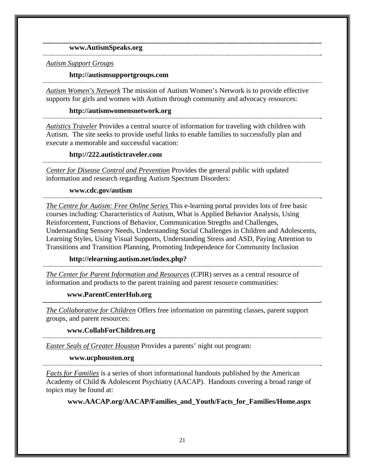### **www.AutismSpeaks.org**

*Autism Support Groups*

### **http://autismsupportgroups.com**

*Autism Women's Network* The mission of Autism Women's Network is to provide effective supports for girls and women with Autism through community and advocacy resources:

### **http://autismwomensnetwork.org**

*Autistics Traveler* Provides a central source of information for traveling with children with Autism. The site seeks to provide useful links to enable families to successfully plan and execute a memorable and successful vacation:

### **http://222.autistictraveler.com**

*Center for Disease Control and Prevention* Provides the general public with updated information and research regarding Autism Spectrum Disorders:

### **www.cdc.gov/autism**

*The Centre for Autism: Free Online Series* This e-learning portal provides lots of free basic courses including: Characteristics of Autism, What is Applied Behavior Analysis, Using Reinforcement, Functions of Behavior, Communication Stregths and Challenges, Understanding Sensory Needs, Understanding Social Challenges in Children and Adolescents, Learning Styles, Using Visual Supports, Understanding Stress and ASD, Paying Attention to Transitions and Transition Planning, Promoting Independence for Community Inclusion

### **http://elearning.autism.net/index.php?**

*The Center for Parent Information and Resources* (CPIR) serves as a central resource of information and products to the parent training and parent resource communities:

### **www.ParentCenterHub.org**

*The Collaborative for Children* Offers free information on parenting classes, parent support groups, and parent resources:

### **www.CollabForChildren.org**

*Easter Seals of Greater Houston* Provides a parents' night out program:

### **www.ucphouston.org**

*Facts for Families* is a series of short informational handouts published by the American Academy of Child & Adolescent Psychiatry (AACAP). Handouts covering a broad range of topics may be found at:

**www.AACAP.org/AACAP/Families\_and\_Youth/Facts\_for\_Families/Home.aspx**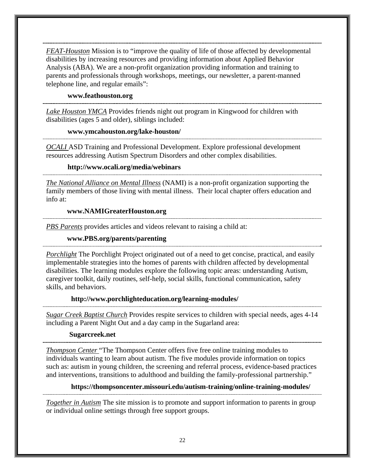*FEAT-Houston* Mission is to "improve the quality of life of those affected by developmental disabilities by increasing resources and providing information about Applied Behavior Analysis (ABA). We are a non-profit organization providing information and training to parents and professionals through workshops, meetings, our newsletter, a parent-manned telephone line, and regular emails":

### **www.feathouston.org**

*Lake Houston YMCA* Provides friends night out program in Kingwood for children with disabilities (ages 5 and older), siblings included:

### **www.ymcahouston.org/lake-houston/**

*OCALI* ASD Training and Professional Development. Explore professional development resources addressing Autism Spectrum Disorders and other complex disabilities.

# **http://www.ocali.org/media/webinars**

*The National Alliance on Mental Illness* (NAMI) is a non-profit organization supporting the family members of those living with mental illness. Their local chapter offers education and info at:

### **www.NAMIGreaterHouston.org**

*PBS Parents* provides articles and videos relevant to raising a child at:

# **www.PBS.org/parents/parenting**

*Porchlight* The Porchlight Project originated out of a need to get concise, practical, and easily implementable strategies into the homes of parents with children affected by developmental disabilities. The learning modules explore the following topic areas: understanding Autism, caregiver toolkit, daily routines, self-help, social skills, functional communication, safety skills, and behaviors.

### **http://www.porchlighteducation.org/learning-modules/**

*Sugar Creek Baptist Church* Provides respite services to children with special needs, ages 4-14 including a Parent Night Out and a day camp in the Sugarland area:

### **Sugarcreek.net**

*Thompson Center* "The Thompson Center offers five free online training modules to individuals wanting to learn about autism. The five modules provide information on topics such as: autism in young children, the screening and referral process, evidence-based practices and interventions, transitions to adulthood and building the family-professional partnership."

# **https://thompsoncenter.missouri.edu/autism-training/online-training-modules/**

*Together in Autism* The site mission is to promote and support information to parents in group or individual online settings through free support groups.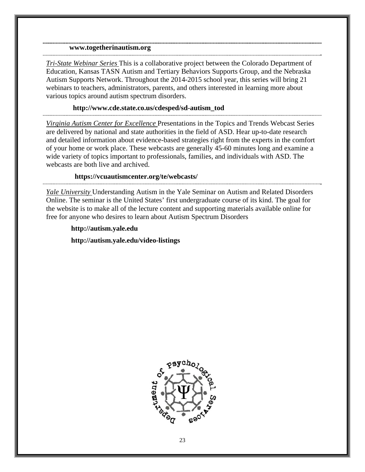### **www.togetherinautism.org**

*Tri-State Webinar Series* This is a collaborative project between the Colorado Department of Education, Kansas TASN Autism and Tertiary Behaviors Supports Group, and the Nebraska Autism Supports Network. Throughout the 2014-2015 school year, this series will bring 21 webinars to teachers, administrators, parents, and others interested in learning more about various topics around autism spectrum disorders.

### **http://www.cde.state.co.us/cdesped/sd-autism\_tod**

*Virginia Autism Center for Excellence* Presentations in the Topics and Trends Webcast Series are delivered by national and state authorities in the field of ASD. Hear up-to-date research and detailed information about evidence-based strategies right from the experts in the comfort of your home or work place. These webcasts are generally 45-60 minutes long and examine a wide variety of topics important to professionals, families, and individuals with ASD. The webcasts are both live and archived.

### **https://vcuautismcenter.org/te/webcasts/**

*Yale University* Understanding Autism in the Yale Seminar on Autism and Related Disorders Online. The seminar is the United States' first undergraduate course of its kind. The goal for the website is to make all of the lecture content and supporting materials available online for free for anyone who desires to learn about Autism Spectrum Disorders

#### **http://autism.yale.edu**

#### **http://autism.yale.edu/video-listings**

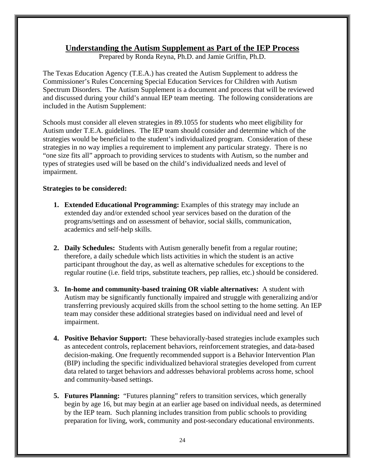# **Understanding the Autism Supplement as Part of the IEP Process**

Prepared by Ronda Reyna, Ph.D. and Jamie Griffin, Ph.D.

The Texas Education Agency (T.E.A.) has created the Autism Supplement to address the Commissioner's Rules Concerning Special Education Services for Children with Autism Spectrum Disorders. The Autism Supplement is a document and process that will be reviewed and discussed during your child's annual IEP team meeting. The following considerations are included in the Autism Supplement:

Schools must consider all eleven strategies in 89.1055 for students who meet eligibility for Autism under T.E.A. guidelines. The IEP team should consider and determine which of the strategies would be beneficial to the student's individualized program. Consideration of these strategies in no way implies a requirement to implement any particular strategy. There is no "one size fits all" approach to providing services to students with Autism, so the number and types of strategies used will be based on the child's individualized needs and level of impairment.

# **Strategies to be considered:**

- **1. Extended Educational Programming:** Examples of this strategy may include an extended day and/or extended school year services based on the duration of the programs/settings and on assessment of behavior, social skills, communication, academics and self-help skills.
- **2. Daily Schedules:** Students with Autism generally benefit from a regular routine; therefore, a daily schedule which lists activities in which the student is an active participant throughout the day, as well as alternative schedules for exceptions to the regular routine (i.e. field trips, substitute teachers, pep rallies, etc.) should be considered.
- **3. In-home and community-based training OR viable alternatives:** A student with Autism may be significantly functionally impaired and struggle with generalizing and/or transferring previously acquired skills from the school setting to the home setting. An IEP team may consider these additional strategies based on individual need and level of impairment.
- **4. Positive Behavior Support:** These behaviorally-based strategies include examples such as antecedent controls, replacement behaviors, reinforcement strategies, and data-based decision-making. One frequently recommended support is a Behavior Intervention Plan (BIP) including the specific individualized behavioral strategies developed from current data related to target behaviors and addresses behavioral problems across home, school and community-based settings.
- **5. Futures Planning:** "Futures planning" refers to transition services, which generally begin by age 16, but may begin at an earlier age based on individual needs, as determined by the IEP team. Such planning includes transition from public schools to providing preparation for living, work, community and post-secondary educational environments.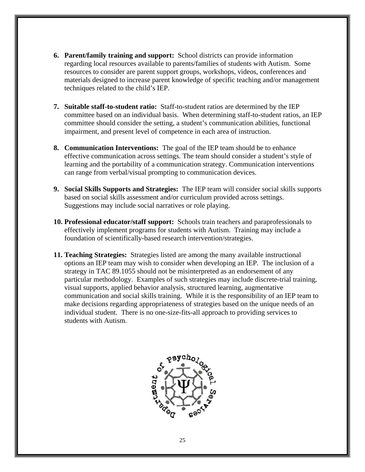- **6. Parent/family training and support:** School districts can provide information regarding local resources available to parents/families of students with Autism. Some resources to consider are parent support groups, workshops, videos, conferences and materials designed to increase parent knowledge of specific teaching and/or management techniques related to the child's IEP.
- **7. Suitable staff-to-student ratio:** Staff-to-student ratios are determined by the IEP committee based on an individual basis. When determining staff-to-student ratios, an IEP committee should consider the setting, a student's communication abilities, functional impairment, and present level of competence in each area of instruction.
- **8. Communication Interventions:** The goal of the IEP team should be to enhance effective communication across settings. The team should consider a student's style of learning and the portability of a communication strategy. Communication interventions can range from verbal/visual prompting to communication devices.
- **9. Social Skills Supports and Strategies:** The IEP team will consider social skills supports based on social skills assessment and/or curriculum provided across settings. Suggestions may include social narratives or role playing.
- **10. Professional educator/staff support:** Schools train teachers and paraprofessionals to effectively implement programs for students with Autism. Training may include a foundation of scientifically-based research intervention/strategies.
- **11. Teaching Strategies:** Strategies listed are among the many available instructional options an IEP team may wish to consider when developing an IEP. The inclusion of a strategy in TAC 89.1055 should not be misinterpreted as an endorsement of any particular methodology. Examples of such strategies may include discrete-trial training, visual supports, applied behavior analysis, structured learning, augmentative communication and social skills training. While it is the responsibility of an IEP team to make decisions regarding appropriateness of strategies based on the unique needs of an individual student. There is no one-size-fits-all approach to providing services to students with Autism.

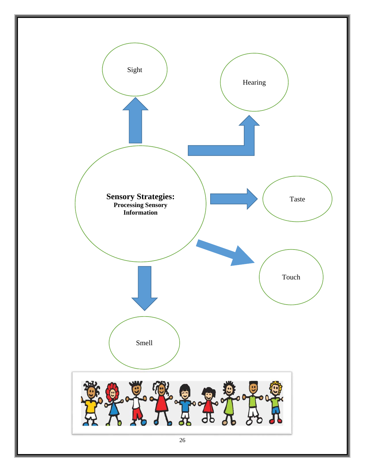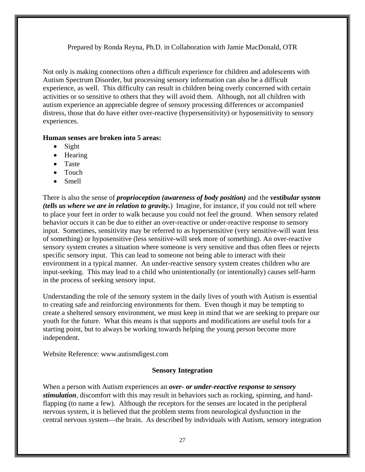Prepared by Ronda Reyna, Ph.D. in Collaboration with Jamie MacDonald, OTR

Not only is making connections often a difficult experience for children and adolescents with Autism Spectrum Disorder, but processing sensory information can also be a difficult experience, as well. This difficulty can result in children being overly concerned with certain activities or so sensitive to others that they will avoid them. Although, not all children with autism experience an appreciable degree of sensory processing differences or accompanied distress, those that do have either over-reactive (hypersensitivity) or hyposensitivity to sensory experiences.

### **Human senses are broken into 5 areas:**

- Sight
- Hearing
- Taste
- Touch
- Smell

There is also the sense of *proprioception (awareness of body position)* and the *vestibular system (tells us where we are in relation to gravity.*) Imagine, for instance, if you could not tell where to place your feet in order to walk because you could not feel the ground. When sensory related behavior occurs it can be due to either an over-reactive or under-reactive response to sensory input. Sometimes, sensitivity may be referred to as hypersensitive (very sensitive-will want less of something) or hyposensitive (less sensitive-will seek more of something). An over-reactive sensory system creates a situation where someone is very sensitive and thus often flees or rejects specific sensory input. This can lead to someone not being able to interact with their environment in a typical manner. An under-reactive sensory system creates children who are input-seeking. This may lead to a child who unintentionally (or intentionally) causes self-harm in the process of seeking sensory input.

Understanding the role of the sensory system in the daily lives of youth with Autism is essential to creating safe and reinforcing environments for them. Even though it may be tempting to create a sheltered sensory environment, we must keep in mind that we are seeking to prepare our youth for the future. What this means is that supports and modifications are useful tools for a starting point, but to always be working towards helping the young person become more independent.

Website Reference: www.autismdigest.com

# **Sensory Integration**

When a person with Autism experiences an *over- or under-reactive response to sensory stimulation*, discomfort with this may result in behaviors such as rocking, spinning, and handflapping (to name a few). Although the receptors for the senses are located in the peripheral nervous system, it is believed that the problem stems from neurological dysfunction in the central nervous system—the brain. As described by individuals with Autism, sensory integration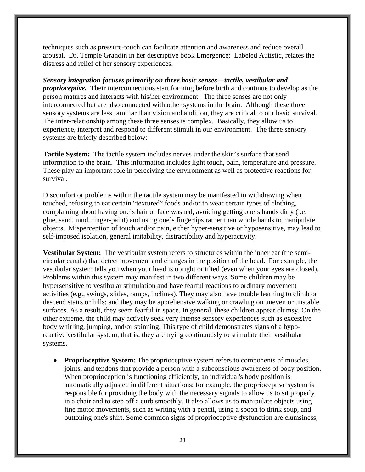techniques such as pressure-touch can facilitate attention and awareness and reduce overall arousal. Dr. Temple Grandin in her descriptive book Emergence: Labeled Autistic, relates the distress and relief of her sensory experiences.

*Sensory integration focuses primarily on three basic senses—tactile, vestibular and proprioceptive.* Their interconnections start forming before birth and continue to develop as the person matures and interacts with his/her environment. The three senses are not only interconnected but are also connected with other systems in the brain. Although these three sensory systems are less familiar than vision and audition, they are critical to our basic survival. The inter-relationship among these three senses is complex. Basically, they allow us to experience, interpret and respond to different stimuli in our environment. The three sensory systems are briefly described below:

**Tactile System:** The tactile system includes nerves under the skin's surface that send information to the brain. This information includes light touch, pain, temperature and pressure. These play an important role in perceiving the environment as well as protective reactions for survival.

Discomfort or problems within the tactile system may be manifested in withdrawing when touched, refusing to eat certain "textured" foods and/or to wear certain types of clothing, complaining about having one's hair or face washed, avoiding getting one's hands dirty (i.e. glue, sand, mud, finger-paint) and using one's fingertips rather than whole hands to manipulate objects. Misperception of touch and/or pain, either hyper-sensitive or hyposensitive, may lead to self-imposed isolation, general irritability, distractibility and hyperactivity.

**Vestibular System:** The vestibular system refers to structures within the inner ear (the semicircular canals) that detect movement and changes in the position of the head. For example, the vestibular system tells you when your head is upright or tilted (even when your eyes are closed). Problems within this system may manifest in two different ways. Some children may be hypersensitive to vestibular stimulation and have fearful reactions to ordinary movement activities (e.g., swings, slides, ramps, inclines). They may also have trouble learning to climb or descend stairs or hills; and they may be apprehensive walking or crawling on uneven or unstable surfaces. As a result, they seem fearful in space. In general, these children appear clumsy. On the other extreme, the child may actively seek very intense sensory experiences such as excessive body whirling, jumping, and/or spinning. This type of child demonstrates signs of a hyporeactive vestibular system; that is, they are trying continuously to stimulate their vestibular systems.

 **Proprioceptive System:** The proprioceptive system refers to components of muscles, joints, and tendons that provide a person with a subconscious awareness of body position. When proprioception is functioning efficiently, an individual's body position is automatically adjusted in different situations; for example, the proprioceptive system is responsible for providing the body with the necessary signals to allow us to sit properly in a chair and to step off a curb smoothly. It also allows us to manipulate objects using fine motor movements, such as writing with a pencil, using a spoon to drink soup, and buttoning one's shirt. Some common signs of proprioceptive dysfunction are clumsiness,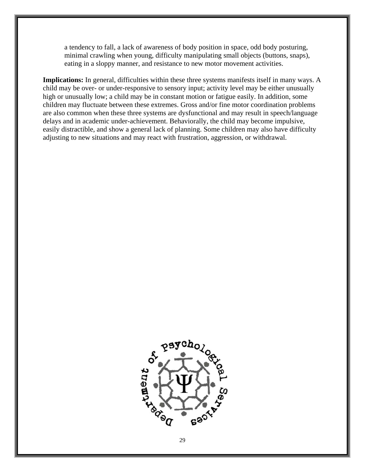a tendency to fall, a lack of awareness of body position in space, odd body posturing, minimal crawling when young, difficulty manipulating small objects (buttons, snaps), eating in a sloppy manner, and resistance to new motor movement activities.

**Implications:** In general, difficulties within these three systems manifests itself in many ways. A child may be over- or under-responsive to sensory input; activity level may be either unusually high or unusually low; a child may be in constant motion or fatigue easily. In addition, some children may fluctuate between these extremes. Gross and/or fine motor coordination problems are also common when these three systems are dysfunctional and may result in speech/language delays and in academic under-achievement. Behaviorally, the child may become impulsive, easily distractible, and show a general lack of planning. Some children may also have difficulty adjusting to new situations and may react with frustration, aggression, or withdrawal.

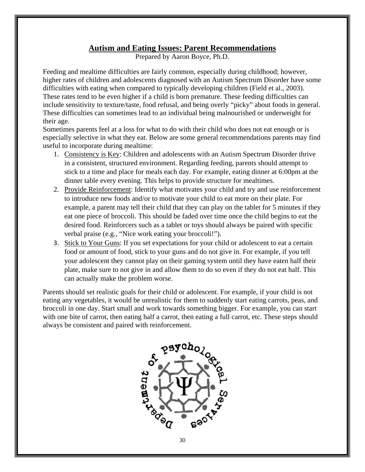# **Autism and Eating Issues: Parent Recommendations**

Prepared by Aaron Boyce, Ph.D.

Feeding and mealtime difficulties are fairly common, especially during childhood; however, higher rates of children and adolescents diagnosed with an Autism Spectrum Disorder have some difficulties with eating when compared to typically developing children (Field et al., 2003). These rates tend to be even higher if a child is born premature. These feeding difficulties can include sensitivity to texture/taste, food refusal, and being overly "picky" about foods in general. These difficulties can sometimes lead to an individual being malnourished or underweight for their age.

Sometimes parents feel at a loss for what to do with their child who does not eat enough or is especially selective in what they eat. Below are some general recommendations parents may find useful to incorporate during mealtime:

- 1. Consistency is Key: Children and adolescents with an Autism Spectrum Disorder thrive in a consistent, structured environment. Regarding feeding, parents should attempt to stick to a time and place for meals each day. For example, eating dinner at 6:00pm at the dinner table every evening. This helps to provide structure for mealtimes.
- 2. Provide Reinforcement: Identify what motivates your child and try and use reinforcement to introduce new foods and/or to motivate your child to eat more on their plate. For example, a parent may tell their child that they can play on the tablet for 5 minutes if they eat one piece of broccoli. This should be faded over time once the child begins to eat the desired food. Reinforcers such as a tablet or toys should always be paired with specific verbal praise (e.g., "Nice work eating your broccoli!").
- 3. Stick to Your Guns: If you set expectations for your child or adolescent to eat a certain food or amount of food, stick to your guns and do not give in. For example, if you tell your adolescent they cannot play on their gaming system until they have eaten half their plate, make sure to not give in and allow them to do so even if they do not eat half. This can actually make the problem worse.

Parents should set realistic goals for their child or adolescent. For example, if your child is not eating any vegetables, it would be unrealistic for them to suddenly start eating carrots, peas, and broccoli in one day. Start small and work towards something bigger. For example, you can start with one bite of carrot, then eating half a carrot, then eating a full carrot, etc. These steps should always be consistent and paired with reinforcement.

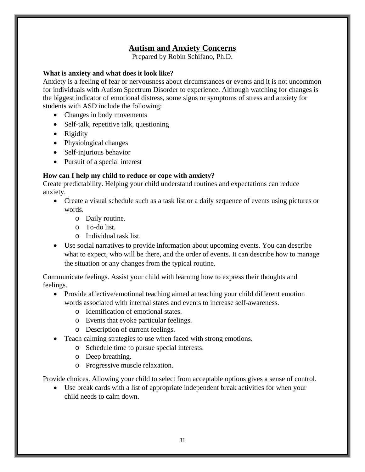# **Autism and Anxiety Concerns**

Prepared by Robin Schifano, Ph.D.

# **What is anxiety and what does it look like?**

Anxiety is a feeling of fear or nervousness about circumstances or events and it is not uncommon for individuals with Autism Spectrum Disorder to experience. Although watching for changes is the biggest indicator of emotional distress, some signs or symptoms of stress and anxiety for students with ASD include the following:

- Changes in body movements
- Self-talk, repetitive talk, questioning
- Rigidity
- Physiological changes
- Self-injurious behavior
- Pursuit of a special interest

# **How can I help my child to reduce or cope with anxiety?**

Create predictability. Helping your child understand routines and expectations can reduce anxiety.

- Create a visual schedule such as a task list or a daily sequence of events using pictures or words.
	- o Daily routine.
	- o To-do list.
	- o Individual task list.
- Use social narratives to provide information about upcoming events. You can describe what to expect, who will be there, and the order of events. It can describe how to manage the situation or any changes from the typical routine.

Communicate feelings. Assist your child with learning how to express their thoughts and feelings.

- Provide affective/emotional teaching aimed at teaching your child different emotion words associated with internal states and events to increase self-awareness.
	- o Identification of emotional states.
	- o Events that evoke particular feelings.
	- o Description of current feelings.
- Teach calming strategies to use when faced with strong emotions.
	- o Schedule time to pursue special interests.
	- o Deep breathing.
	- o Progressive muscle relaxation.

Provide choices. Allowing your child to select from acceptable options gives a sense of control.

 Use break cards with a list of appropriate independent break activities for when your child needs to calm down.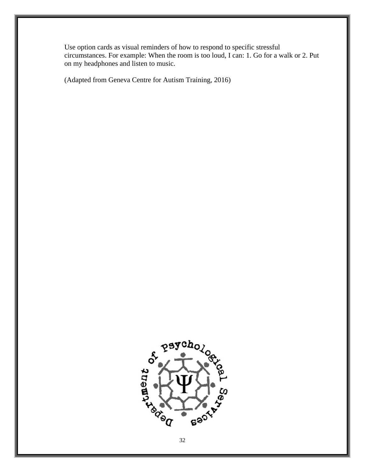Use option cards as visual reminders of how to respond to specific stressful circumstances. For example: When the room is too loud, I can: 1. Go for a walk or 2. Put on my headphones and listen to music.

(Adapted from Geneva Centre for Autism Training, 2016)

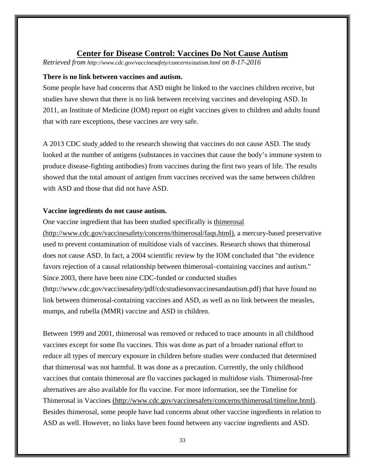# **Center for Disease Control: Vaccines Do Not Cause Autism**

*Retrieved from http://www.cdc.gov/vaccinesafety/concerns/autism.html on 8-17-2016* 

### **There is no link between vaccines and autism.**

Some people have had concerns that ASD might be linked to the vaccines children receive, but studies have shown that there is no link between receiving vaccines and developing ASD. In 2011, an Institute of Medicine (IOM) report on eight vaccines given to children and adults found that with rare exceptions, these vaccines are very safe.

A 2013 CDC study added to the research showing that vaccines do not cause ASD. The study looked at the number of antigens (substances in vaccines that cause the body's immune system to produce disease-fighting antibodies) from vaccines during the first two years of life. The results showed that the total amount of antigen from vaccines received was the same between children with ASD and those that did not have ASD.

### **Vaccine ingredients do not cause autism.**

One vaccine ingredient that has been studied specifically is thimerosal (http://www.cdc.gov/vaccinesafety/concerns/thimerosal/faqs.html), a mercury-based preservative used to prevent contamination of multidose vials of vaccines. Research shows that thimerosal does not cause ASD. In fact, a 2004 scientific review by the IOM concluded that "the evidence favors rejection of a causal relationship between thimerosal–containing vaccines and autism." Since 2003, there have been nine CDC-funded or conducted studies (http://www.cdc.gov/vaccinesafety/pdf/cdcstudiesonvaccinesandautism.pdf) that have found no link between thimerosal-containing vaccines and ASD, as well as no link between the measles, mumps, and rubella (MMR) vaccine and ASD in children.

Between 1999 and 2001, thimerosal was removed or reduced to trace amounts in all childhood vaccines except for some flu vaccines. This was done as part of a broader national effort to reduce all types of mercury exposure in children before studies were conducted that determined that thimerosal was not harmful. It was done as a precaution. Currently, the only childhood vaccines that contain thimerosal are flu vaccines packaged in multidose vials. Thimerosal-free alternatives are also available for flu vaccine. For more information, see the Timeline for Thimerosal in Vaccines (http://www.cdc.gov/vaccinesafety/concerns/thimerosal/timeline.html). Besides thimerosal, some people have had concerns about other vaccine ingredients in relation to ASD as well. However, no links have been found between any vaccine ingredients and ASD.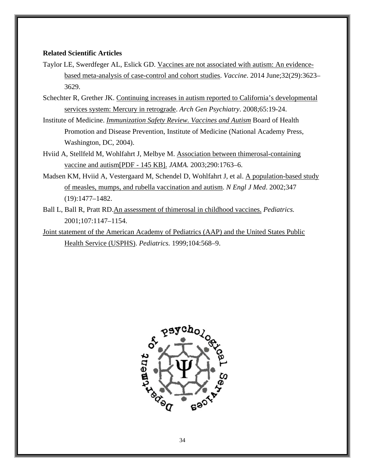## **Related Scientific Articles**

- Taylor LE, Swerdfeger AL, Eslick GD. Vaccines are not associated with autism: An evidencebased meta-analysis of case-control and cohort studies. *Vaccine*. 2014 June;32(29):3623– 3629.
- Schechter R, Grether JK. Continuing increases in autism reported to California's developmental services system: Mercury in retrograde. *Arch Gen Psychiatry*. 2008;65:19-24.
- Institute of Medicine. *Immunization Safety Review. Vaccines and Autism* Board of Health Promotion and Disease Prevention, Institute of Medicine (National Academy Press, Washington, DC, 2004).
- Hviid A, Stellfeld M, Wohlfahrt J, Melbye M. Association between thimerosal-containing vaccine and autism[PDF - 145 KB]. *JAMA.* 2003;290:1763–6.
- Madsen KM, Hviid A, Vestergaard M, Schendel D, Wohlfahrt J, et al. A population-based study of measles, mumps, and rubella vaccination and autism. *N Engl J Med*. 2002;347 (19):1477–1482.
- Ball L, Ball R, Pratt RD.An assessment of thimerosal in childhood vaccines. *Pediatrics.* 2001;107:1147–1154.
- Joint statement of the American Academy of Pediatrics (AAP) and the United States Public Health Service (USPHS). *Pediatrics.* 1999;104:568–9.

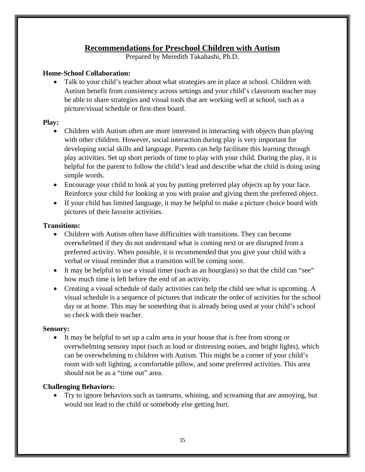# **Recommendations for Preschool Children with Autism**

Prepared by Meredith Takahashi, Ph.D.

# **Home-School Collaboration:**

 Talk to your child's teacher about what strategies are in place at school. Children with Autism benefit from consistency across settings and your child's classroom teacher may be able to share strategies and visual tools that are working well at school, such as a picture/visual schedule or first-then board.

# **Play:**

- Children with Autism often are more interested in interacting with objects than playing with other children. However, social interaction during play is very important for developing social skills and language. Parents can help facilitate this learning through play activities. Set up short periods of time to play with your child. During the play, it is helpful for the parent to follow the child's lead and describe what the child is doing using simple words.
- Encourage your child to look at you by putting preferred play objects up by your face. Reinforce your child for looking at you with praise and giving them the preferred object.
- If your child has limited language, it may be helpful to make a picture choice board with pictures of their favorite activities.

# **Transitions:**

- Children with Autism often have difficulties with transitions. They can become overwhelmed if they do not understand what is coming next or are disrupted from a preferred activity. When possible, it is recommended that you give your child with a verbal or visual reminder that a transition will be coming soon.
- It may be helpful to use a visual timer (such as an hourglass) so that the child can "see" how much time is left before the end of an activity.
- Creating a visual schedule of daily activities can help the child see what is upcoming. A visual schedule is a sequence of pictures that indicate the order of activities for the school day or at home. This may be something that is already being used at your child's school so check with their teacher.

### **Sensory:**

 It may be helpful to set up a calm area in your house that is free from strong or overwhelming sensory input (such as loud or distressing noises, and bright lights), which can be overwhelming to children with Autism. This might be a corner of your child's room with soft lighting, a comfortable pillow, and some preferred activities. This area should not be as a "time out" area.

# **Challenging Behaviors:**

 Try to ignore behaviors such as tantrums, whining, and screaming that are annoying, but would not lead to the child or somebody else getting hurt.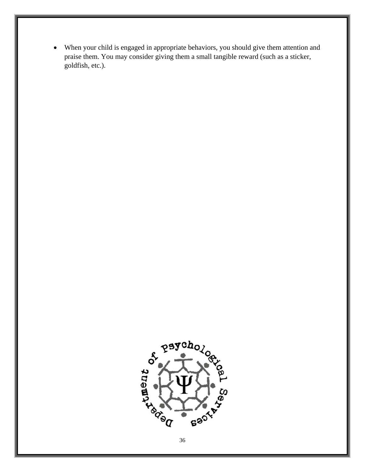When your child is engaged in appropriate behaviors, you should give them attention and praise them. You may consider giving them a small tangible reward (such as a sticker, goldfish, etc.).

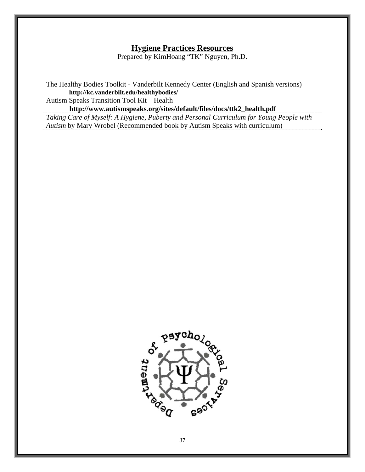# **Hygiene Practices Resources**

Prepared by KimHoang "TK" Nguyen, Ph.D.

The Healthy Bodies Toolkit - Vanderbilt Kennedy Center (English and Spanish versions) **http://kc.vanderbilt.edu/healthybodies/** 

Autism Speaks Transition Tool Kit – Health

**http://www.autismspeaks.org/sites/default/files/docs/ttk2\_health.pdf** 

*Taking Care of Myself: A Hygiene, Puberty and Personal Curriculum for Young People with Autism* by Mary Wrobel (Recommended book by Autism Speaks with curriculum)

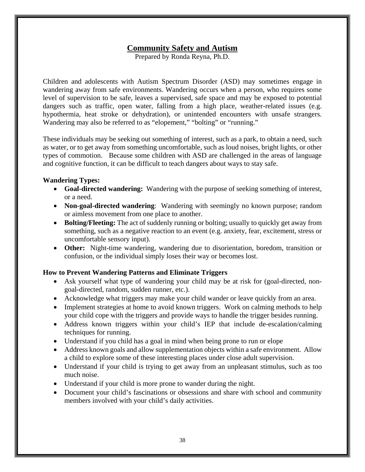# **Community Safety and Autism**

Prepared by Ronda Reyna, Ph.D.

Children and adolescents with Autism Spectrum Disorder (ASD) may sometimes engage in wandering away from safe environments. Wandering occurs when a person, who requires some level of supervision to be safe, leaves a supervised, safe space and may be exposed to potential dangers such as traffic, open water, falling from a high place, weather-related issues (e.g. hypothermia, heat stroke or dehydration), or unintended encounters with unsafe strangers. Wandering may also be referred to as "elopement," "bolting" or "running."

These individuals may be seeking out something of interest, such as a park, to obtain a need, such as water, or to get away from something uncomfortable, such as loud noises, bright lights, or other types of commotion. Because some children with ASD are challenged in the areas of language and cognitive function, it can be difficult to teach dangers about ways to stay safe.

### **Wandering Types:**

- **Goal-directed wandering:** Wandering with the purpose of seeking something of interest, or a need.
- **Non-goal-directed wandering**: Wandering with seemingly no known purpose; random or aimless movement from one place to another.
- **Bolting/Fleeting:** The act of suddenly running or bolting; usually to quickly get away from something, such as a negative reaction to an event (e.g. anxiety, fear, excitement, stress or uncomfortable sensory input).
- **Other:** Night-time wandering, wandering due to disorientation, boredom, transition or confusion, or the individual simply loses their way or becomes lost.

# **How to Prevent Wandering Patterns and Eliminate Triggers**

- Ask yourself what type of wandering your child may be at risk for (goal-directed, nongoal-directed, random, sudden runner, etc.).
- Acknowledge what triggers may make your child wander or leave quickly from an area.
- Implement strategies at home to avoid known triggers. Work on calming methods to help your child cope with the triggers and provide ways to handle the trigger besides running.
- Address known triggers within your child's IEP that include de-escalation/calming techniques for running.
- Understand if you child has a goal in mind when being prone to run or elope
- Address known goals and allow supplementation objects within a safe environment. Allow a child to explore some of these interesting places under close adult supervision.
- Understand if your child is trying to get away from an unpleasant stimulus, such as too much noise.
- Understand if your child is more prone to wander during the night.
- Document your child's fascinations or obsessions and share with school and community members involved with your child's daily activities.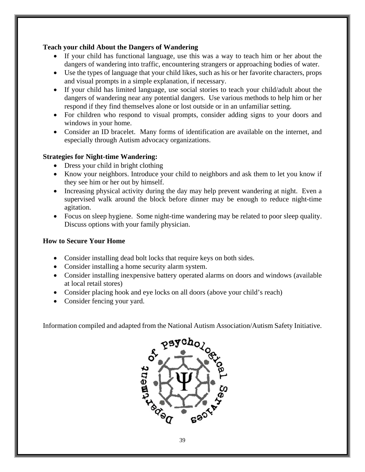# **Teach your child About the Dangers of Wandering**

- If your child has functional language, use this was a way to teach him or her about the dangers of wandering into traffic, encountering strangers or approaching bodies of water.
- Use the types of language that your child likes, such as his or her favorite characters, props and visual prompts in a simple explanation, if necessary.
- If your child has limited language, use social stories to teach your child/adult about the dangers of wandering near any potential dangers. Use various methods to help him or her respond if they find themselves alone or lost outside or in an unfamiliar setting.
- For children who respond to visual prompts, consider adding signs to your doors and windows in your home.
- Consider an ID bracelet. Many forms of identification are available on the internet, and especially through Autism advocacy organizations.

# **Strategies for Night-time Wandering:**

- Dress your child in bright clothing
- Know your neighbors. Introduce your child to neighbors and ask them to let you know if they see him or her out by himself.
- Increasing physical activity during the day may help prevent wandering at night. Even a supervised walk around the block before dinner may be enough to reduce night-time agitation.
- Focus on sleep hygiene. Some night-time wandering may be related to poor sleep quality. Discuss options with your family physician.

# **How to Secure Your Home**

- Consider installing dead bolt locks that require keys on both sides.
- Consider installing a home security alarm system.
- Consider installing inexpensive battery operated alarms on doors and windows (available at local retail stores)
- Consider placing hook and eye locks on all doors (above your child's reach)
- Consider fencing your yard.

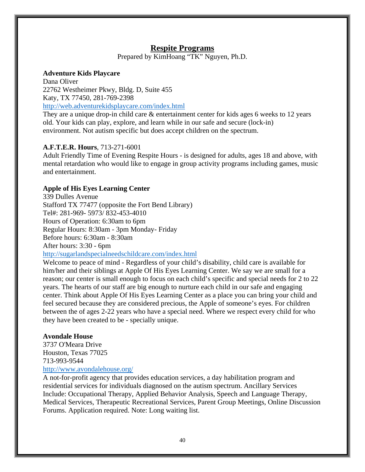# **Respite Programs**

Prepared by KimHoang "TK" Nguyen, Ph.D.

### **Adventure Kids Playcare**

Dana Oliver 22762 Westheimer Pkwy, Bldg. D, Suite 455 Katy, TX 77450, 281-769-2398 http://web.adventurekidsplaycare.com/index.html

They are a unique drop-in child care & entertainment center for kids ages 6 weeks to 12 years old. Your kids can play, explore, and learn while in our safe and secure (lock-in) environment. Not autism specific but does accept children on the spectrum.

### **A.F.T.E.R. Hours**, 713-271-6001

Adult Friendly Time of Evening Respite Hours - is designed for adults, ages 18 and above, with mental retardation who would like to engage in group activity programs including games, music and entertainment.

### **Apple of His Eyes Learning Center**

339 Dulles Avenue Stafford TX 77477 (opposite the Fort Bend Library) Tel#: 281-969- 5973/ 832-453-4010 Hours of Operation: 6:30am to 6pm Regular Hours: 8:30am - 3pm Monday- Friday Before hours: 6:30am - 8:30am After hours: 3:30 - 6pm

http://sugarlandspecialneedschildcare.com/index.html

Welcome to peace of mind - Regardless of your child's disability, child care is available for him/her and their siblings at Apple Of His Eyes Learning Center. We say we are small for a reason; our center is small enough to focus on each child's specific and special needs for 2 to 22 years. The hearts of our staff are big enough to nurture each child in our safe and engaging center. Think about Apple Of His Eyes Learning Center as a place you can bring your child and feel secured because they are considered precious, the Apple of someone's eyes. For children between the of ages 2-22 years who have a special need. Where we respect every child for who they have been created to be - specially unique.

### **Avondale House**

3737 O'Meara Drive Houston, Texas 77025 713-993-9544 http://www.avondalehouse.org/

A not-for-profit agency that provides education services, a day habilitation program and residential services for individuals diagnosed on the autism spectrum. Ancillary Services Include: Occupational Therapy, Applied Behavior Analysis, Speech and Language Therapy, Medical Services, Therapeutic Recreational Services, Parent Group Meetings, Online Discussion Forums. Application required. Note: Long waiting list.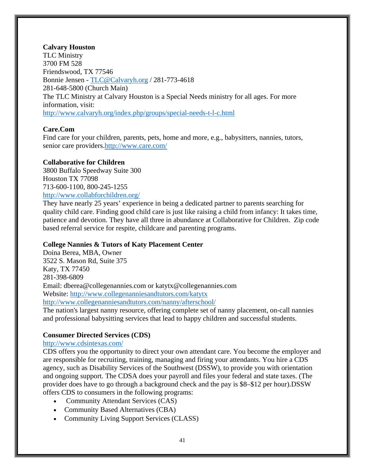### **Calvary Houston**

TLC Ministry 3700 FM 528 Friendswood, TX 77546 Bonnie Jensen - TLC@Calvaryh.org / 281-773-4618 281-648-5800 (Church Main) The TLC Ministry at Calvary Houston is a Special Needs ministry for all ages. For more information, visit: http://www.calvaryh.org/index.php/groups/special-needs-t-l-c.html

### **Care.Com**

Find care for your children, parents, pets, home and more, e.g., babysitters, nannies, tutors, senior care providers.http://www.care.com/

### **Collaborative for Children**

3800 Buffalo Speedway Suite 300 Houston TX 77098 713-600-1100, 800-245-1255 http://www.collabforchildren.org/

They have nearly 25 years' experience in being a dedicated partner to parents searching for quality child care. Finding good child care is just like raising a child from infancy: It takes time, patience and devotion. They have all three in abundance at Collaborative for Children. Zip code based referral service for respite, childcare and parenting programs.

### **College Nannies & Tutors of Katy Placement Center**

Doina Berea, MBA, Owner 3522 S. Mason Rd, Suite 375 Katy, TX 77450 281-398-6809 Email: dberea@collegenannies.com or katytx@collegenannies.com Website: http://www.collegenanniesandtutors.com/katytx http://www.collegenanniesandtutors.com/nanny/afterschool/

The nation's largest nanny resource, offering complete set of nanny placement, on-call nannies and professional babysitting services that lead to happy children and successful students.

### **Consumer Directed Services (CDS)**

### http://www.cdsintexas.com/

CDS offers you the opportunity to direct your own attendant care. You become the employer and are responsible for recruiting, training, managing and firing your attendants. You hire a CDS agency, such as Disability Services of the Southwest (DSSW), to provide you with orientation and ongoing support. The CDSA does your payroll and files your federal and state taxes. (The provider does have to go through a background check and the pay is \$8–\$12 per hour).DSSW offers CDS to consumers in the following programs:

- Community Attendant Services (CAS)
- Community Based Alternatives (CBA)
- Community Living Support Services (CLASS)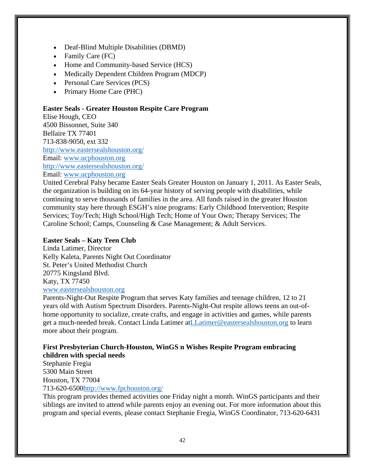- Deaf-Blind Multiple Disabilities (DBMD)
- Family Care (FC)
- Home and Community-based Service (HCS)
- Medically Dependent Children Program (MDCP)
- Personal Care Services (PCS)
- Primary Home Care (PHC)

### **Easter Seals - Greater Houston Respite Care Program**

Elise Hough, CEO 4500 Bissonnet, Suite 340 Bellaire TX 77401 713-838-9050, ext 332 http://www.eastersealshouston.org/ Email: www.ucphouston.org http://www.eastersealshouston.org/ Email: www.ucphouston.org

United Cerebral Palsy became Easter Seals Greater Houston on January 1, 2011. As Easter Seals, the organization is building on its 64-year history of serving people with disabilities, while continuing to serve thousands of families in the area. All funds raised in the greater Houston community stay here through ESGH's nine programs: Early Childhood Intervention; Respite Services; Toy/Tech; High School/High Tech; Home of Your Own; Therapy Services; The Caroline School; Camps, Counseling & Case Management; & Adult Services.

### **Easter Seals – Katy Teen Club**

Linda Latimer, Director Kelly Kaleta, Parents Night Out Coordinator St. Peter's United Methodist Church 20775 Kingsland Blvd. Katy, TX 77450 www.eastersealshouston.org

Parents-Night-Out Respite Program that serves Katy families and teenage children, 12 to 21 years old with Autism Spectrum Disorders. Parents-Night-Out respite allows teens an out-ofhome opportunity to socialize, create crafts, and engage in activities and games, while parents get a much-needed break. Contact Linda Latimer atLLatimer@eastersealshouston.org to learn more about their program.

# **First Presbyterian Church-Houston, WinGS n Wishes Respite Program embracing children with special needs**

Stephanie Fregia 5300 Main Street Houston, TX 77004 713-620-6500http://www.fpchouston.org/

This program provides themed activities one Friday night a month. WinGS participants and their siblings are invited to attend while parents enjoy an evening out. For more information about this program and special events, please contact Stephanie Fregia, WinGS Coordinator, 713-620-6431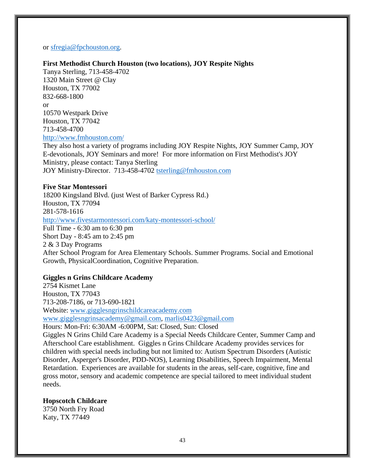#### or sfregia@fpchouston.org.

#### **First Methodist Church Houston (two locations), JOY Respite Nights**

Tanya Sterling, 713-458-4702 1320 Main Street @ Clay Houston, TX 77002 832-668-1800 or 10570 Westpark Drive Houston, TX 77042 713-458-4700 http://www.fmhouston.com/

They also host a variety of programs including JOY Respite Nights, JOY Summer Camp, JOY E-devotionals, JOY Seminars and more! For more information on First Methodist's JOY Ministry, please contact: Tanya Sterling JOY Ministry-Director. 713-458-4702 tsterling@fmhouston.com

#### **Five Star Montessori**

18200 Kingsland Blvd. (just West of Barker Cypress Rd.) Houston, TX 77094 281-578-1616 http://www.fivestarmontessori.com/katy-montessori-school/ Full Time - 6:30 am to 6:30 pm Short Day - 8:45 am to 2:45 pm 2 & 3 Day Programs After School Program for Area Elementary Schools. Summer Programs. Social and Emotional Growth, PhysicalCoordination, Cognitive Preparation.

#### **Giggles n Grins Childcare Academy**

2754 Kismet Lane Houston, TX 77043 713-208-7186, or 713-690-1821 Website: www.gigglesngrinschildcareacademy.com www.gigglesngrinsacademy@gmail.com, marlis0423@gmail.com Hours: Mon-Fri: 6:30AM -6:00PM, Sat: Closed, Sun: Closed Giggles N Grins Child Care Academy is a Special Needs Childcare Center, Summer Camp and Afterschool Care establishment. Giggles n Grins Childcare Academy provides services for children with special needs including but not limited to: Autism Spectrum Disorders (Autistic Disorder, Asperger's Disorder, PDD-NOS), Learning Disabilities, Speech Impairment, Mental Retardation. Experiences are available for students in the areas, self-care, cognitive, fine and gross motor, sensory and academic competence are special tailored to meet individual student needs.

### **Hopscotch Childcare**

3750 North Fry Road Katy, TX 77449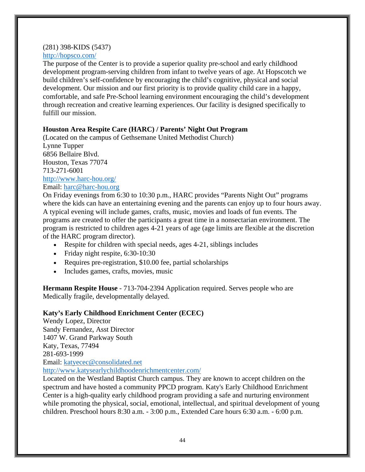### (281) 398-KIDS (5437) http://hopsco.com/

The purpose of the Center is to provide a superior quality pre-school and early childhood development program-serving children from infant to twelve years of age. At Hopscotch we build children's self-confidence by encouraging the child's cognitive, physical and social development. Our mission and our first priority is to provide quality child care in a happy, comfortable, and safe Pre-School learning environment encouraging the child's development through recreation and creative learning experiences. Our facility is designed specifically to fulfill our mission.

# **Houston Area Respite Care (HARC) / Parents' Night Out Program**

(Located on the campus of Gethsemane United Methodist Church) Lynne Tupper 6856 Bellaire Blvd. Houston, Texas 77074 713-271-6001 http://www.harc-hou.org/ Email: harc@harc-hou.org

On Friday evenings from 6:30 to 10:30 p.m., HARC provides "Parents Night Out" programs where the kids can have an entertaining evening and the parents can enjoy up to four hours away. A typical evening will include games, crafts, music, movies and loads of fun events. The programs are created to offer the participants a great time in a nonsectarian environment. The program is restricted to children ages 4-21 years of age (age limits are flexible at the discretion of the HARC program director).

- Respite for children with special needs, ages 4-21, siblings includes
- Friday night respite, 6:30-10:30
- Requires pre-registration, \$10.00 fee, partial scholarships
- Includes games, crafts, movies, music

**Hermann Respite House** - 713-704-2394 Application required. Serves people who are Medically fragile, developmentally delayed.

# **Katy's Early Childhood Enrichment Center (ECEC)**

Wendy Lopez, Director Sandy Fernandez, Asst Director 1407 W. Grand Parkway South Katy, Texas, 77494 281-693-1999 Email: katyecec@consolidated.net

http://www.katysearlychildhoodenrichmentcenter.com/

Located on the Westland Baptist Church campus. They are known to accept children on the spectrum and have hosted a community PPCD program. Katy's Early Childhood Enrichment Center is a high-quality early childhood program providing a safe and nurturing environment while promoting the physical, social, emotional, intellectual, and spiritual development of young children. Preschool hours 8:30 a.m. - 3:00 p.m., Extended Care hours 6:30 a.m. - 6:00 p.m.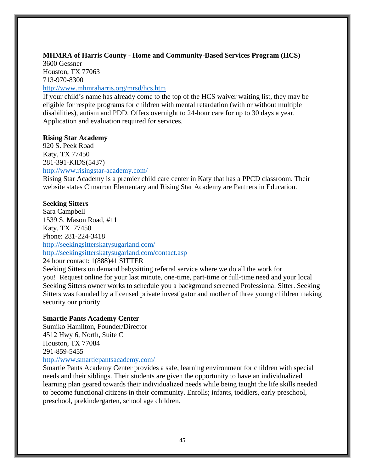# **MHMRA of Harris County - Home and Community-Based Services Program (HCS)**

3600 Gessner Houston, TX 77063 713-970-8300

### http://www.mhmraharris.org/mrsd/hcs.htm

If your child's name has already come to the top of the HCS waiver waiting list, they may be eligible for respite programs for children with mental retardation (with or without multiple disabilities), autism and PDD. Offers overnight to 24-hour care for up to 30 days a year. Application and evaluation required for services.

### **Rising Star Academy**

920 S. Peek Road Katy, TX 77450 281-391-KIDS(5437) http://www.risingstar-academy.com/

Rising Star Academy is a premier child care center in Katy that has a PPCD classroom. Their website states Cimarron Elementary and Rising Star Academy are Partners in Education.

### **Seeking Sitters**

Sara Campbell 1539 S. Mason Road, #11 Katy, TX 77450 Phone: 281-224-3418 http://seekingsitterskatysugarland.com/ http://seekingsitterskatysugarland.com/contact.asp

24 hour contact: 1(888)41 SITTER

Seeking Sitters on demand babysitting referral service where we do all the work for you! Request online for your last minute, one-time, part-time or full-time need and your local Seeking Sitters owner works to schedule you a background screened Professional Sitter. Seeking Sitters was founded by a licensed private investigator and mother of three young children making security our priority.

### **Smartie Pants Academy Center**

Sumiko Hamilton, Founder/Director 4512 Hwy 6, North, Suite C Houston, TX 77084 291-859-5455 http://www.smartiepantsacademy.com/

Smartie Pants Academy Center provides a safe, learning environment for children with special needs and their siblings. Their students are given the opportunity to have an individualized learning plan geared towards their individualized needs while being taught the life skills needed to become functional citizens in their community. Enrolls; infants, toddlers, early preschool, preschool, prekindergarten, school age children.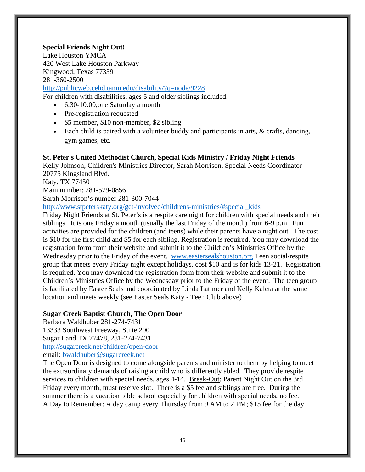# **Special Friends Night Out!**

Lake Houston YMCA 420 West Lake Houston Parkway Kingwood, Texas 77339 281-360-2500 http://publicweb.cehd.tamu.edu/disability/?q=node/9228

For children with disabilities, ages 5 and older siblings included.

- 6:30-10:00,one Saturday a month
- Pre-registration requested
- \$5 member, \$10 non-member, \$2 sibling
- Each child is paired with a volunteer buddy and participants in arts, & crafts, dancing, gym games, etc.

# **St. Peter's United Methodist Church, Special Kids Ministry / Friday Night Friends**

Kelly Johnson, Children's Ministries Director, Sarah Morrison, Special Needs Coordinator 20775 Kingsland Blvd.

Katy, TX 77450

Main number: 281-579-0856

Sarah Morrison's number 281-300-7044

http://www.stpeterskaty.org/get-involved/childrens-ministries/#special\_kids

Friday Night Friends at St. Peter's is a respite care night for children with special needs and their siblings. It is one Friday a month (usually the last Friday of the month) from 6-9 p.m. Fun activities are provided for the children (and teens) while their parents have a night out. The cost is \$10 for the first child and \$5 for each sibling. Registration is required. You may download the registration form from their website and submit it to the Children's Ministries Office by the Wednesday prior to the Friday of the event. www.eastersealshouston.org Teen social/respite group that meets every Friday night except holidays, cost \$10 and is for kids 13-21. Registration is required. You may download the registration form from their website and submit it to the Children's Ministries Office by the Wednesday prior to the Friday of the event. The teen group is facilitated by Easter Seals and coordinated by Linda Latimer and Kelly Kaleta at the same location and meets weekly (see Easter Seals Katy - Teen Club above)

### **Sugar Creek Baptist Church, The Open Door**

Barbara Waldhuber 281-274-7431 13333 Southwest Freeway, Suite 200 Sugar Land TX 77478, 281-274-7431 http://sugarcreek.net/children/open-door email: bwaldhuber@sugarcreek.net

The Open Door is designed to come alongside parents and minister to them by helping to meet the extraordinary demands of raising a child who is differently abled. They provide respite services to children with special needs, ages 4-14. Break-Out: Parent Night Out on the 3rd Friday every month, must reserve slot. There is a \$5 fee and siblings are free. During the summer there is a vacation bible school especially for children with special needs, no fee. A Day to Remember: A day camp every Thursday from 9 AM to 2 PM; \$15 fee for the day.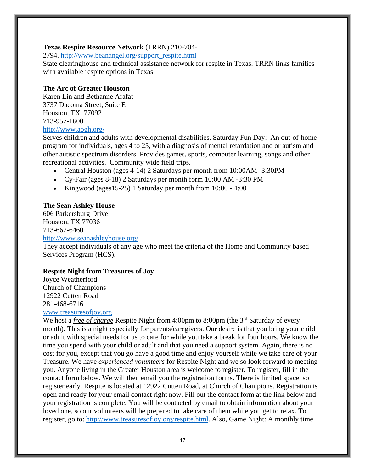# **Texas Respite Resource Network** (TRRN) 210-704-

2794. http://www.beanangel.org/support\_respite.html

State clearinghouse and technical assistance network for respite in Texas. TRRN links families with available respite options in Texas.

# **The Arc of Greater Houston**

Karen Lin and Bethanne Arafat 3737 Dacoma Street, Suite E Houston, TX 77092 713-957-1600 http://www.aogh.org/

Serves children and adults with developmental disabilities. Saturday Fun Day: An out-of-home program for individuals, ages 4 to 25, with a diagnosis of mental retardation and or autism and other autistic spectrum disorders. Provides games, sports, computer learning, songs and other recreational activities. Community wide field trips.

- Central Houston (ages 4-14) 2 Saturdays per month from 10:00AM -3:30PM
- Cy-Fair (ages 8-18) 2 Saturdays per month form 10:00 AM -3:30 PM
- Kingwood (ages 15-25) 1 Saturday per month from  $10:00 4:00$

### **The Sean Ashley House**

606 Parkersburg Drive Houston, TX 77036 713-667-6460 http://www.seanashleyhouse.org/

They accept individuals of any age who meet the criteria of the Home and Community based Services Program (HCS).

### **Respite Night from Treasures of Joy**

Joyce Weatherford Church of Champions 12922 Cutten Road 281-468-6716

### www.treasuresofjoy.org

We host a *free of charge* Respite Night from 4:00pm to 8:00pm (the 3<sup>rd</sup> Saturday of every month). This is a night especially for parents/caregivers. Our desire is that you bring your child or adult with special needs for us to care for while you take a break for four hours. We know the time you spend with your child or adult and that you need a support system. Again, there is no cost for you, except that you go have a good time and enjoy yourself while we take care of your Treasure. We have *experienced volunteers* for Respite Night and we so look forward to meeting you. Anyone living in the Greater Houston area is welcome to register. To register, fill in the contact form below. We will then email you the registration forms. There is limited space, so register early. Respite is located at 12922 Cutten Road, at Church of Champions. Registration is open and ready for your email contact right now. Fill out the contact form at the link below and your registration is complete. You will be contacted by email to obtain information about your loved one, so our volunteers will be prepared to take care of them while you get to relax. To register, go to: http://www.treasuresofjoy.org/respite.html. Also, Game Night: A monthly time